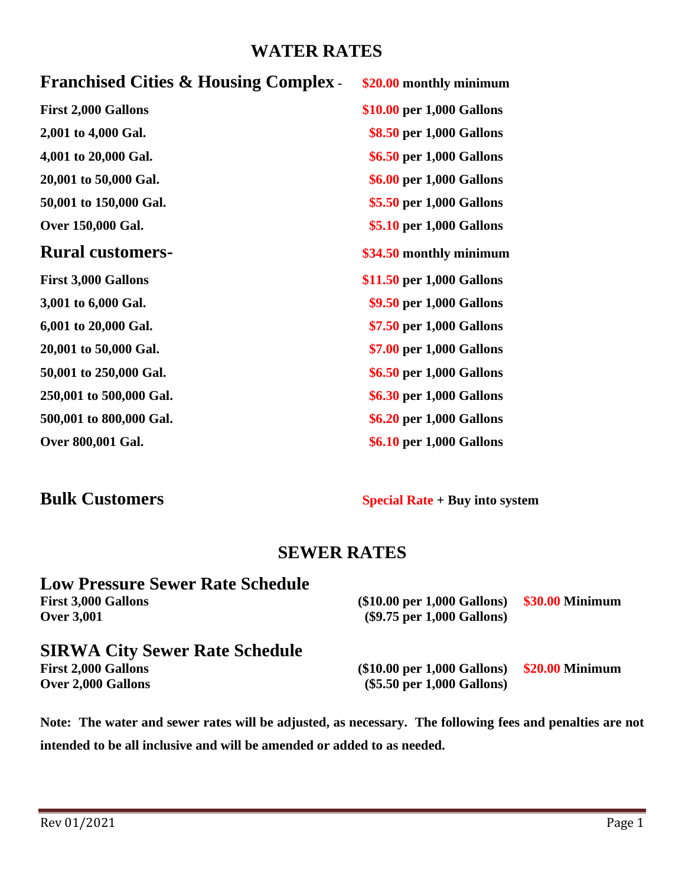# **WATER RATES**

| <b>Franchised Cities &amp; Housing Complex.</b> | \$20.00 monthly minimum   |
|-------------------------------------------------|---------------------------|
| <b>First 2,000 Gallons</b>                      | \$10.00 per 1,000 Gallons |
| 2,001 to 4,000 Gal.                             | \$8.50 per 1,000 Gallons  |
| 4,001 to 20,000 Gal.                            | \$6.50 per 1,000 Gallons  |
| 20,001 to 50,000 Gal.                           | \$6.00 per 1,000 Gallons  |
| 50,001 to 150,000 Gal.                          | \$5.50 per 1,000 Gallons  |
| Over 150,000 Gal.                               | \$5.10 per 1,000 Gallons  |
| <b>Rural customers-</b>                         | \$34.50 monthly minimum   |
| <b>First 3,000 Gallons</b>                      | \$11.50 per 1,000 Gallons |
| 3,001 to 6,000 Gal.                             | \$9.50 per 1,000 Gallons  |
| 6,001 to 20,000 Gal.                            | \$7.50 per 1,000 Gallons  |
| 20,001 to 50,000 Gal.                           | \$7.00 per 1,000 Gallons  |
| 50,001 to 250,000 Gal.                          | \$6.50 per 1,000 Gallons  |
| 250,001 to 500,000 Gal.                         | \$6.30 per 1,000 Gallons  |
| 500,001 to 800,000 Gal.                         | \$6.20 per 1,000 Gallons  |
| Over 800,001 Gal.                               | \$6.10 per 1,000 Gallons  |

**Bulk Customers Special Rate + Buy into system**

## **SEWER RATES**

# **Low Pressure Sewer Rate Schedule**

| <b>First 3,000 Gallons</b><br><b>Over 3,001</b> | $$10.00$ per 1,000 Gallons) $$30.00$ Minimum<br>$(\$9.75$ per 1,000 Gallons) |  |
|-------------------------------------------------|------------------------------------------------------------------------------|--|
| <b>SIRWA City Sewer Rate Schedule</b>           |                                                                              |  |
| <b>First 2,000 Gallons</b>                      | $$10.00$ per 1,000 Gallons) $$20.00$ Minimum                                 |  |
| <b>Over 2,000 Gallons</b>                       | $(\$5.50$ per 1,000 Gallons)                                                 |  |

**Note: The water and sewer rates will be adjusted, as necessary. The following fees and penalties are not intended to be all inclusive and will be amended or added to as needed.**